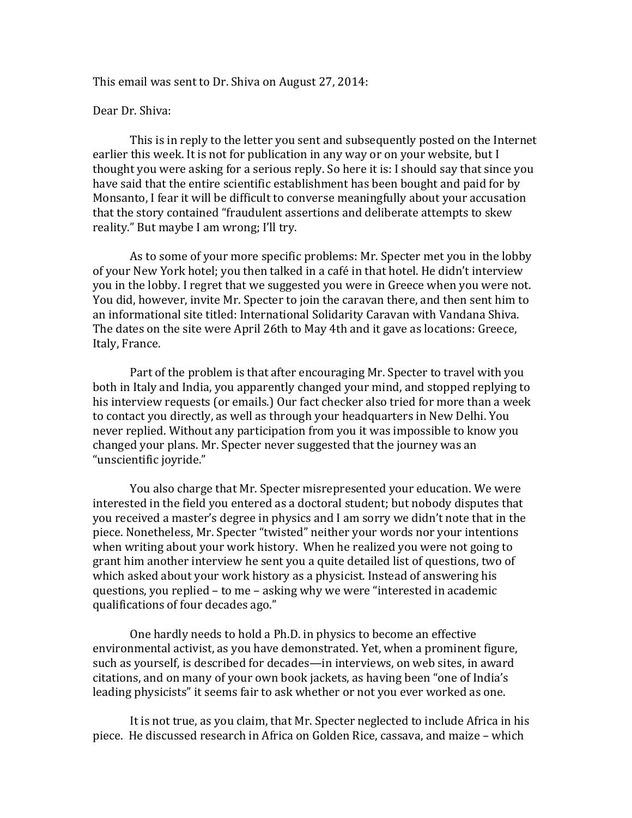This email was sent to Dr. Shiva on August 27, 2014:

## Dear Dr. Shiva:

This is in reply to the letter you sent and subsequently posted on the Internet earlier this week. It is not for publication in any way or on your website, but I thought you were asking for a serious reply. So here it is: I should say that since you have said that the entire scientific establishment has been bought and paid for by Monsanto, I fear it will be difficult to converse meaningfully about your accusation that the story contained "fraudulent assertions and deliberate attempts to skew reality." But maybe I am wrong; I'll try.

As to some of your more specific problems: Mr. Specter met you in the lobby of your New York hotel; you then talked in a café in that hotel. He didn't interview you in the lobby. I regret that we suggested you were in Greece when you were not. You did, however, invite Mr. Specter to join the caravan there, and then sent him to an informational site titled: International Solidarity Caravan with Vandana Shiva. The dates on the site were April 26th to May 4th and it gave as locations: Greece, Italy, France.

Part of the problem is that after encouraging Mr. Specter to travel with you both in Italy and India, you apparently changed your mind, and stopped replying to his interview requests (or emails.) Our fact checker also tried for more than a week to contact you directly, as well as through your headquarters in New Delhi. You never replied. Without any participation from you it was impossible to know you changed your plans. Mr. Specter never suggested that the journey was an "unscientific joyride."

You also charge that Mr. Specter misrepresented your education. We were interested in the field you entered as a doctoral student; but nobody disputes that you received a master's degree in physics and I am sorry we didn't note that in the piece. Nonetheless, Mr. Specter "twisted" neither your words nor your intentions when writing about your work history. When he realized you were not going to grant him another interview he sent you a quite detailed list of questions, two of which asked about your work history as a physicist. Instead of answering his questions, you replied – to me – asking why we were "interested in academic qualifications of four decades ago."

One hardly needs to hold a Ph.D. in physics to become an effective environmental activist, as you have demonstrated. Yet, when a prominent figure, such as yourself, is described for decades—in interviews, on web sites, in award citations, and on many of your own book jackets, as having been "one of India's leading physicists" it seems fair to ask whether or not you ever worked as one.

It is not true, as you claim, that Mr. Specter neglected to include Africa in his piece. He discussed research in Africa on Golden Rice, cassava, and maize – which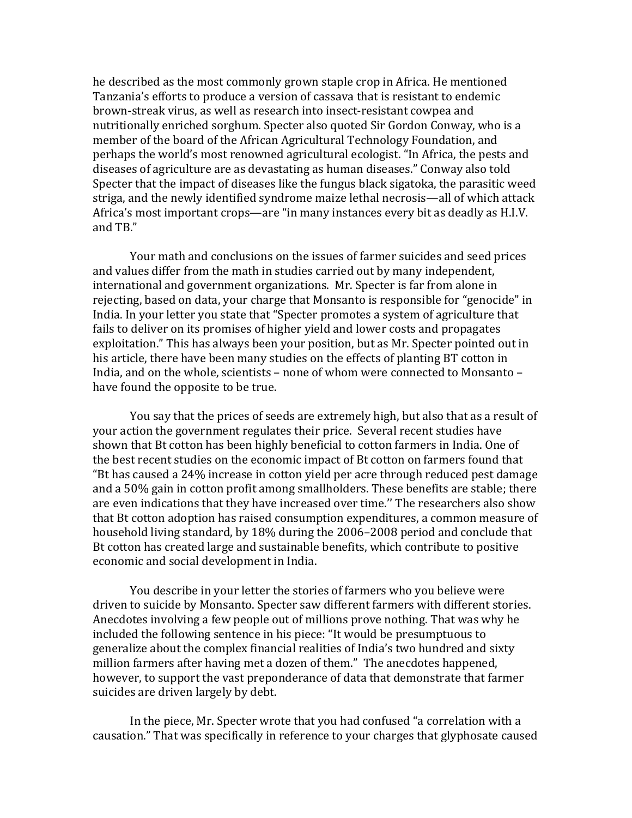he described as the most commonly grown staple crop in Africa. He mentioned Tanzania's efforts to produce a version of cassava that is resistant to endemic brown-streak virus, as well as research into insect-resistant cowpea and nutritionally enriched sorghum. Specter also quoted Sir Gordon Conway, who is a member of the board of the African Agricultural Technology Foundation, and perhaps the world's most renowned agricultural ecologist. "In Africa, the pests and diseases of agriculture are as devastating as human diseases." Conway also told Specter that the impact of diseases like the fungus black sigatoka, the parasitic weed striga, and the newly identified syndrome maize lethal necrosis—all of which attack Africa's most important crops—are "in many instances every bit as deadly as H.I.V. and TB."

Your math and conclusions on the issues of farmer suicides and seed prices and values differ from the math in studies carried out by many independent, international and government organizations. Mr. Specter is far from alone in rejecting, based on data, your charge that Monsanto is responsible for "genocide" in India. In your letter you state that "Specter promotes a system of agriculture that fails to deliver on its promises of higher yield and lower costs and propagates exploitation." This has always been your position, but as Mr. Specter pointed out in his article, there have been many studies on the effects of planting BT cotton in India, and on the whole, scientists – none of whom were connected to Monsanto – have found the opposite to be true.

You say that the prices of seeds are extremely high, but also that as a result of your action the government regulates their price. Several recent studies have shown that Bt cotton has been highly beneficial to cotton farmers in India. One of the best recent studies on the economic impact of Bt cotton on farmers found that "Bt has caused a 24% increase in cotton yield per acre through reduced pest damage and a 50% gain in cotton profit among smallholders. These benefits are stable; there are even indications that they have increased over time." The researchers also show that Bt cotton adoption has raised consumption expenditures, a common measure of household living standard, by 18% during the 2006–2008 period and conclude that Bt cotton has created large and sustainable benefits, which contribute to positive economic and social development in India.

You describe in your letter the stories of farmers who you believe were driven to suicide by Monsanto. Specter saw different farmers with different stories. Anecdotes involving a few people out of millions prove nothing. That was why he included the following sentence in his piece: "It would be presumptuous to generalize about the complex financial realities of India's two hundred and sixty million farmers after having met a dozen of them." The anecdotes happened, however, to support the vast preponderance of data that demonstrate that farmer suicides are driven largely by debt.

In the piece, Mr. Specter wrote that you had confused "a correlation with a causation." That was specifically in reference to your charges that glyphosate caused